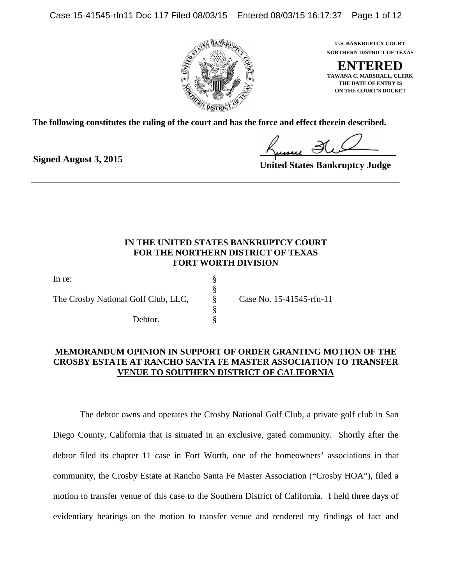Case 15-41545-rfn11 Doc 117 Filed 08/03/15 Entered 08/03/15 16:17:37 Page 1 of 12



**NORTHERN DISTRICT OF TEXAS U.S. BANKRUPTCY COURT**

**ENTERED ON THE COURT'S DOCKET THE DATE OF ENTRY IS TAWANA C. MARSHALL, CLERK**

**The following constitutes the ruling of the court and has the force and effect therein described.**

\_\_\_\_\_\_\_\_\_\_\_\_\_\_\_\_\_\_\_\_\_\_\_\_\_\_\_\_\_\_\_\_\_\_\_\_\_\_\_\_\_\_\_\_\_\_\_\_\_\_\_\_\_\_\_\_\_\_\_\_\_\_\_\_\_\_\_\_\_\_

**Signed August 3, 2015**

**United States Bankruptcy Judge**

# **IN THE UNITED STATES BANKRUPTCY COURT FOR THE NORTHERN DISTRICT OF TEXAS FORT WORTH DIVISION**

| In re:                              |   |
|-------------------------------------|---|
|                                     |   |
| The Crosby National Golf Club, LLC, | 8 |
|                                     |   |
| Debtor.                             |   |

Case No. 15-41545-rfn-11

# **MEMORANDUM OPINION IN SUPPORT OF ORDER GRANTING MOTION OF THE CROSBY ESTATE AT RANCHO SANTA FE MASTER ASSOCIATION TO TRANSFER VENUE TO SOUTHERN DISTRICT OF CALIFORNIA**

The debtor owns and operates the Crosby National Golf Club, a private golf club in San Diego County, California that is situated in an exclusive, gated community. Shortly after the debtor filed its chapter 11 case in Fort Worth, one of the homeowners' associations in that community, the Crosby Estate at Rancho Santa Fe Master Association ("Crosby HOA"), filed a motion to transfer venue of this case to the Southern District of California. I held three days of evidentiary hearings on the motion to transfer venue and rendered my findings of fact and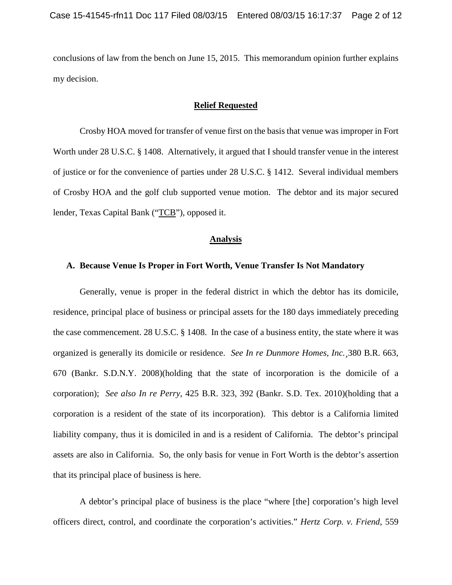conclusions of law from the bench on June 15, 2015. This memorandum opinion further explains my decision.

#### **Relief Requested**

Crosby HOA moved for transfer of venue first on the basis that venue was improper in Fort Worth under 28 U.S.C. § 1408. Alternatively, it argued that I should transfer venue in the interest of justice or for the convenience of parties under 28 U.S.C. § 1412. Several individual members of Crosby HOA and the golf club supported venue motion. The debtor and its major secured lender, Texas Capital Bank ("TCB"), opposed it.

### **Analysis**

### **A. Because Venue Is Proper in Fort Worth, Venue Transfer Is Not Mandatory**

Generally, venue is proper in the federal district in which the debtor has its domicile, residence, principal place of business or principal assets for the 180 days immediately preceding the case commencement. 28 U.S.C. § 1408. In the case of a business entity, the state where it was organized is generally its domicile or residence. *See In re Dunmore Homes, Inc.¸*380 B.R. 663, 670 (Bankr. S.D.N.Y. 2008)(holding that the state of incorporation is the domicile of a corporation); *See also In re Perry*, 425 B.R. 323, 392 (Bankr. S.D. Tex. 2010)(holding that a corporation is a resident of the state of its incorporation). This debtor is a California limited liability company, thus it is domiciled in and is a resident of California. The debtor's principal assets are also in California. So, the only basis for venue in Fort Worth is the debtor's assertion that its principal place of business is here.

A debtor's principal place of business is the place "where [the] corporation's high level officers direct, control, and coordinate the corporation's activities." *Hertz Corp. v. Friend*, 559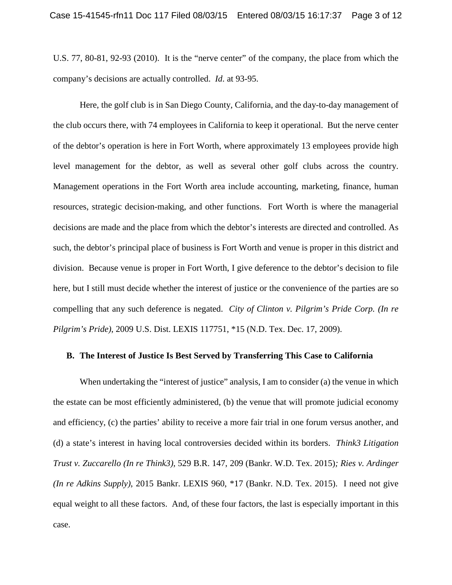U.S. 77, 80-81, 92-93 (2010). It is the "nerve center" of the company, the place from which the company's decisions are actually controlled. *Id*. at 93-95.

Here, the golf club is in San Diego County, California, and the day-to-day management of the club occurs there, with 74 employees in California to keep it operational. But the nerve center of the debtor's operation is here in Fort Worth, where approximately 13 employees provide high level management for the debtor, as well as several other golf clubs across the country. Management operations in the Fort Worth area include accounting, marketing, finance, human resources, strategic decision-making, and other functions. Fort Worth is where the managerial decisions are made and the place from which the debtor's interests are directed and controlled. As such, the debtor's principal place of business is Fort Worth and venue is proper in this district and division. Because venue is proper in Fort Worth, I give deference to the debtor's decision to file here, but I still must decide whether the interest of justice or the convenience of the parties are so compelling that any such deference is negated. *City of Clinton v. Pilgrim's Pride Corp. (In re Pilgrim's Pride)*, 2009 U.S. Dist. LEXIS 117751, \*15 (N.D. Tex. Dec. 17, 2009).

### **B. The Interest of Justice Is Best Served by Transferring This Case to California**

When undertaking the "interest of justice" analysis, I am to consider (a) the venue in which the estate can be most efficiently administered, (b) the venue that will promote judicial economy and efficiency, (c) the parties' ability to receive a more fair trial in one forum versus another, and (d) a state's interest in having local controversies decided within its borders. *Think3 Litigation Trust v. Zuccarello (In re Think3),* 529 B.R. 147, 209 (Bankr. W.D. Tex. 2015)*; Ries v. Ardinger (In re Adkins Supply)*, 2015 Bankr. LEXIS 960, \*17 (Bankr. N.D. Tex. 2015). I need not give equal weight to all these factors. And, of these four factors, the last is especially important in this case.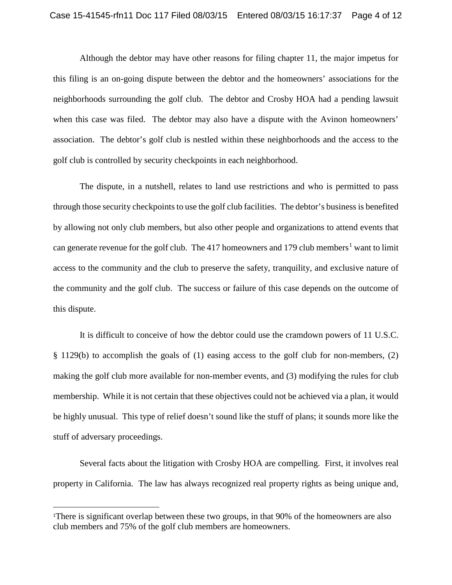Although the debtor may have other reasons for filing chapter 11, the major impetus for this filing is an on-going dispute between the debtor and the homeowners' associations for the neighborhoods surrounding the golf club. The debtor and Crosby HOA had a pending lawsuit when this case was filed. The debtor may also have a dispute with the Avinon homeowners' association. The debtor's golf club is nestled within these neighborhoods and the access to the golf club is controlled by security checkpoints in each neighborhood.

The dispute, in a nutshell, relates to land use restrictions and who is permitted to pass through those security checkpoints to use the golf club facilities. The debtor's business is benefited by allowing not only club members, but also other people and organizations to attend events that can generate revenue for the golf club. The 4[1](#page-3-0)7 homeowners and 179 club members<sup>1</sup> want to limit access to the community and the club to preserve the safety, tranquility, and exclusive nature of the community and the golf club. The success or failure of this case depends on the outcome of this dispute.

It is difficult to conceive of how the debtor could use the cramdown powers of 11 U.S.C. § 1129(b) to accomplish the goals of (1) easing access to the golf club for non-members, (2) making the golf club more available for non-member events, and (3) modifying the rules for club membership. While it is not certain that these objectives could not be achieved via a plan, it would be highly unusual. This type of relief doesn't sound like the stuff of plans; it sounds more like the stuff of adversary proceedings.

Several facts about the litigation with Crosby HOA are compelling. First, it involves real property in California. The law has always recognized real property rights as being unique and,

 $\overline{\phantom{a}}$ 

<span id="page-3-0"></span><sup>1</sup> There is significant overlap between these two groups, in that 90% of the homeowners are also club members and 75% of the golf club members are homeowners.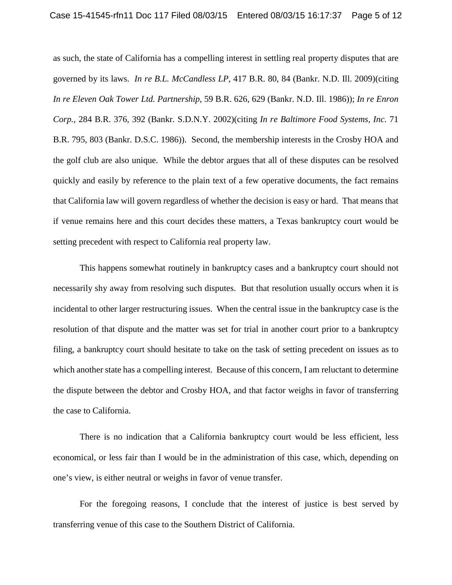as such, the state of California has a compelling interest in settling real property disputes that are governed by its laws. *In re B.L. McCandless LP*, 417 B.R. 80, 84 (Bankr. N.D. Ill. 2009)(citing *In re Eleven Oak Tower Ltd. Partnership*, 59 B.R. 626, 629 (Bankr. N.D. Ill. 1986)); *In re Enron Corp.*, 284 B.R. 376, 392 (Bankr. S.D.N.Y. 2002)(citing *In re Baltimore Food Systems, Inc.* 71 B.R. 795, 803 (Bankr. D.S.C. 1986)). Second, the membership interests in the Crosby HOA and the golf club are also unique. While the debtor argues that all of these disputes can be resolved quickly and easily by reference to the plain text of a few operative documents, the fact remains that California law will govern regardless of whether the decision is easy or hard. That means that if venue remains here and this court decides these matters, a Texas bankruptcy court would be setting precedent with respect to California real property law.

This happens somewhat routinely in bankruptcy cases and a bankruptcy court should not necessarily shy away from resolving such disputes. But that resolution usually occurs when it is incidental to other larger restructuring issues. When the central issue in the bankruptcy case is the resolution of that dispute and the matter was set for trial in another court prior to a bankruptcy filing, a bankruptcy court should hesitate to take on the task of setting precedent on issues as to which another state has a compelling interest. Because of this concern, I am reluctant to determine the dispute between the debtor and Crosby HOA, and that factor weighs in favor of transferring the case to California.

There is no indication that a California bankruptcy court would be less efficient, less economical, or less fair than I would be in the administration of this case, which, depending on one's view, is either neutral or weighs in favor of venue transfer.

For the foregoing reasons, I conclude that the interest of justice is best served by transferring venue of this case to the Southern District of California.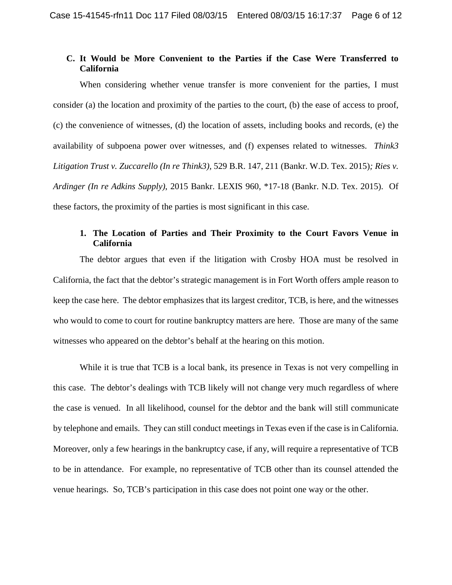## **C. It Would be More Convenient to the Parties if the Case Were Transferred to California**

When considering whether venue transfer is more convenient for the parties, I must consider (a) the location and proximity of the parties to the court, (b) the ease of access to proof, (c) the convenience of witnesses, (d) the location of assets, including books and records, (e) the availability of subpoena power over witnesses, and (f) expenses related to witnesses. *Think3 Litigation Trust v. Zuccarello (In re Think3),* 529 B.R. 147, 211 (Bankr. W.D. Tex. 2015)*; Ries v. Ardinger (In re Adkins Supply)*, 2015 Bankr. LEXIS 960, \*17-18 (Bankr. N.D. Tex. 2015). Of these factors, the proximity of the parties is most significant in this case.

# **1. The Location of Parties and Their Proximity to the Court Favors Venue in California**

The debtor argues that even if the litigation with Crosby HOA must be resolved in California, the fact that the debtor's strategic management is in Fort Worth offers ample reason to keep the case here. The debtor emphasizes that its largest creditor, TCB, is here, and the witnesses who would to come to court for routine bankruptcy matters are here. Those are many of the same witnesses who appeared on the debtor's behalf at the hearing on this motion.

While it is true that TCB is a local bank, its presence in Texas is not very compelling in this case. The debtor's dealings with TCB likely will not change very much regardless of where the case is venued. In all likelihood, counsel for the debtor and the bank will still communicate by telephone and emails. They can still conduct meetings in Texas even if the case is in California. Moreover, only a few hearings in the bankruptcy case, if any, will require a representative of TCB to be in attendance. For example, no representative of TCB other than its counsel attended the venue hearings. So, TCB's participation in this case does not point one way or the other.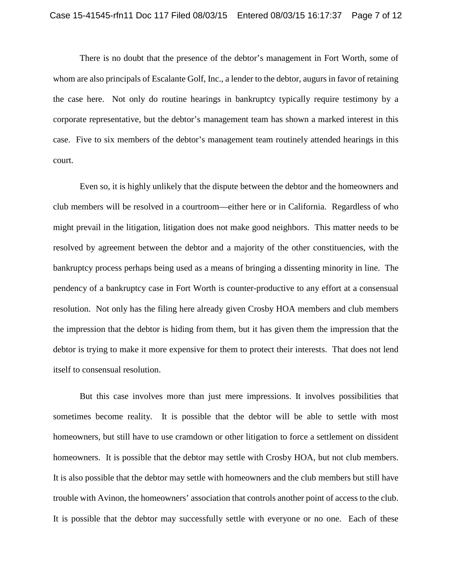There is no doubt that the presence of the debtor's management in Fort Worth, some of whom are also principals of Escalante Golf, Inc., a lender to the debtor, augurs in favor of retaining the case here. Not only do routine hearings in bankruptcy typically require testimony by a corporate representative, but the debtor's management team has shown a marked interest in this case. Five to six members of the debtor's management team routinely attended hearings in this court.

Even so, it is highly unlikely that the dispute between the debtor and the homeowners and club members will be resolved in a courtroom—either here or in California. Regardless of who might prevail in the litigation, litigation does not make good neighbors. This matter needs to be resolved by agreement between the debtor and a majority of the other constituencies, with the bankruptcy process perhaps being used as a means of bringing a dissenting minority in line. The pendency of a bankruptcy case in Fort Worth is counter-productive to any effort at a consensual resolution. Not only has the filing here already given Crosby HOA members and club members the impression that the debtor is hiding from them, but it has given them the impression that the debtor is trying to make it more expensive for them to protect their interests. That does not lend itself to consensual resolution.

But this case involves more than just mere impressions. It involves possibilities that sometimes become reality. It is possible that the debtor will be able to settle with most homeowners, but still have to use cramdown or other litigation to force a settlement on dissident homeowners. It is possible that the debtor may settle with Crosby HOA, but not club members. It is also possible that the debtor may settle with homeowners and the club members but still have trouble with Avinon, the homeowners' association that controls another point of access to the club. It is possible that the debtor may successfully settle with everyone or no one. Each of these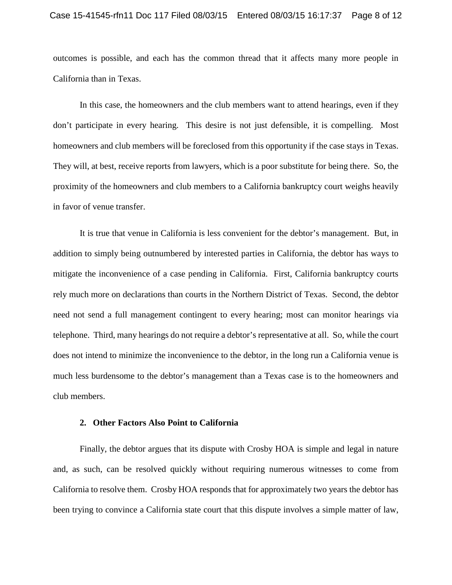outcomes is possible, and each has the common thread that it affects many more people in California than in Texas.

In this case, the homeowners and the club members want to attend hearings, even if they don't participate in every hearing. This desire is not just defensible, it is compelling. Most homeowners and club members will be foreclosed from this opportunity if the case stays in Texas. They will, at best, receive reports from lawyers, which is a poor substitute for being there. So, the proximity of the homeowners and club members to a California bankruptcy court weighs heavily in favor of venue transfer.

It is true that venue in California is less convenient for the debtor's management. But, in addition to simply being outnumbered by interested parties in California, the debtor has ways to mitigate the inconvenience of a case pending in California. First, California bankruptcy courts rely much more on declarations than courts in the Northern District of Texas. Second, the debtor need not send a full management contingent to every hearing; most can monitor hearings via telephone. Third, many hearings do not require a debtor's representative at all. So, while the court does not intend to minimize the inconvenience to the debtor, in the long run a California venue is much less burdensome to the debtor's management than a Texas case is to the homeowners and club members.

## **2. Other Factors Also Point to California**

Finally, the debtor argues that its dispute with Crosby HOA is simple and legal in nature and, as such, can be resolved quickly without requiring numerous witnesses to come from California to resolve them. Crosby HOA responds that for approximately two years the debtor has been trying to convince a California state court that this dispute involves a simple matter of law,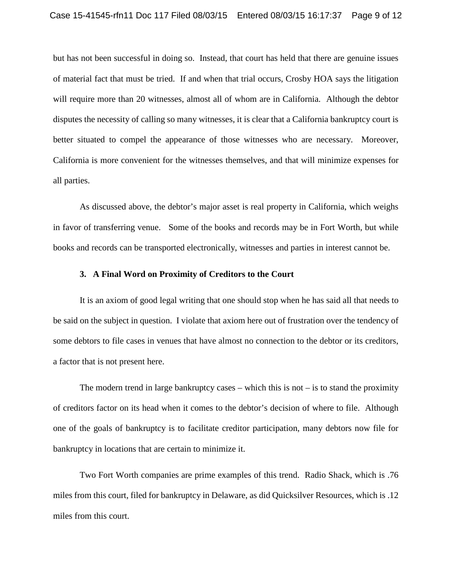but has not been successful in doing so. Instead, that court has held that there are genuine issues of material fact that must be tried. If and when that trial occurs, Crosby HOA says the litigation will require more than 20 witnesses, almost all of whom are in California. Although the debtor disputes the necessity of calling so many witnesses, it is clear that a California bankruptcy court is better situated to compel the appearance of those witnesses who are necessary. Moreover, California is more convenient for the witnesses themselves, and that will minimize expenses for all parties.

As discussed above, the debtor's major asset is real property in California, which weighs in favor of transferring venue. Some of the books and records may be in Fort Worth, but while books and records can be transported electronically, witnesses and parties in interest cannot be.

## **3. A Final Word on Proximity of Creditors to the Court**

It is an axiom of good legal writing that one should stop when he has said all that needs to be said on the subject in question. I violate that axiom here out of frustration over the tendency of some debtors to file cases in venues that have almost no connection to the debtor or its creditors, a factor that is not present here.

The modern trend in large bankruptcy cases – which this is not  $-$  is to stand the proximity of creditors factor on its head when it comes to the debtor's decision of where to file. Although one of the goals of bankruptcy is to facilitate creditor participation, many debtors now file for bankruptcy in locations that are certain to minimize it.

Two Fort Worth companies are prime examples of this trend. Radio Shack, which is .76 miles from this court, filed for bankruptcy in Delaware, as did Quicksilver Resources, which is .12 miles from this court.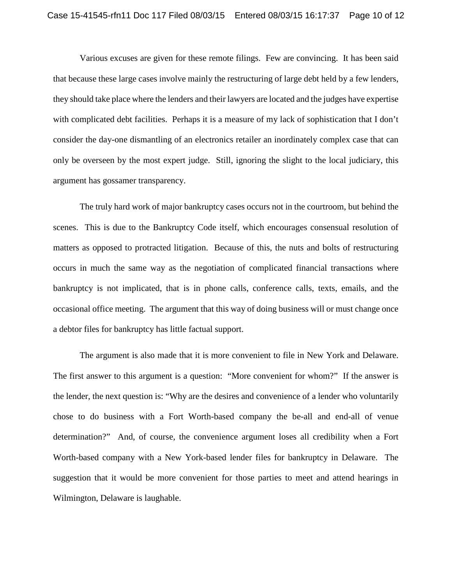Various excuses are given for these remote filings. Few are convincing. It has been said that because these large cases involve mainly the restructuring of large debt held by a few lenders, they should take place where the lenders and their lawyers are located and the judges have expertise with complicated debt facilities. Perhaps it is a measure of my lack of sophistication that I don't consider the day-one dismantling of an electronics retailer an inordinately complex case that can only be overseen by the most expert judge. Still, ignoring the slight to the local judiciary, this argument has gossamer transparency.

The truly hard work of major bankruptcy cases occurs not in the courtroom, but behind the scenes. This is due to the Bankruptcy Code itself, which encourages consensual resolution of matters as opposed to protracted litigation. Because of this, the nuts and bolts of restructuring occurs in much the same way as the negotiation of complicated financial transactions where bankruptcy is not implicated, that is in phone calls, conference calls, texts, emails, and the occasional office meeting. The argument that this way of doing business will or must change once a debtor files for bankruptcy has little factual support.

The argument is also made that it is more convenient to file in New York and Delaware. The first answer to this argument is a question: "More convenient for whom?" If the answer is the lender, the next question is: "Why are the desires and convenience of a lender who voluntarily chose to do business with a Fort Worth-based company the be-all and end-all of venue determination?" And, of course, the convenience argument loses all credibility when a Fort Worth-based company with a New York-based lender files for bankruptcy in Delaware. The suggestion that it would be more convenient for those parties to meet and attend hearings in Wilmington, Delaware is laughable.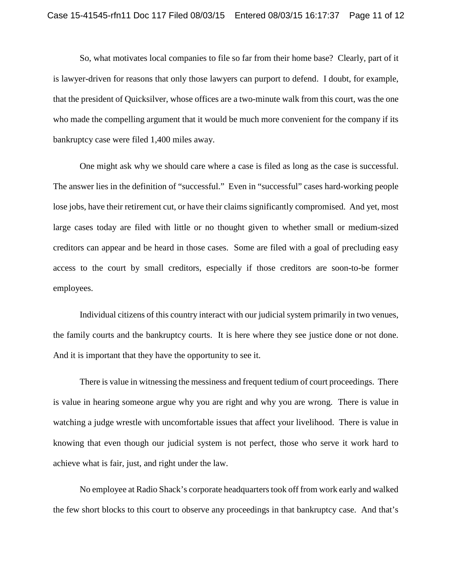So, what motivates local companies to file so far from their home base? Clearly, part of it is lawyer-driven for reasons that only those lawyers can purport to defend. I doubt, for example, that the president of Quicksilver, whose offices are a two-minute walk from this court, was the one who made the compelling argument that it would be much more convenient for the company if its bankruptcy case were filed 1,400 miles away.

One might ask why we should care where a case is filed as long as the case is successful. The answer lies in the definition of "successful." Even in "successful" cases hard-working people lose jobs, have their retirement cut, or have their claims significantly compromised. And yet, most large cases today are filed with little or no thought given to whether small or medium-sized creditors can appear and be heard in those cases. Some are filed with a goal of precluding easy access to the court by small creditors, especially if those creditors are soon-to-be former employees.

Individual citizens of this country interact with our judicial system primarily in two venues, the family courts and the bankruptcy courts. It is here where they see justice done or not done. And it is important that they have the opportunity to see it.

There is value in witnessing the messiness and frequent tedium of court proceedings. There is value in hearing someone argue why you are right and why you are wrong. There is value in watching a judge wrestle with uncomfortable issues that affect your livelihood. There is value in knowing that even though our judicial system is not perfect, those who serve it work hard to achieve what is fair, just, and right under the law.

No employee at Radio Shack's corporate headquarters took off from work early and walked the few short blocks to this court to observe any proceedings in that bankruptcy case. And that's